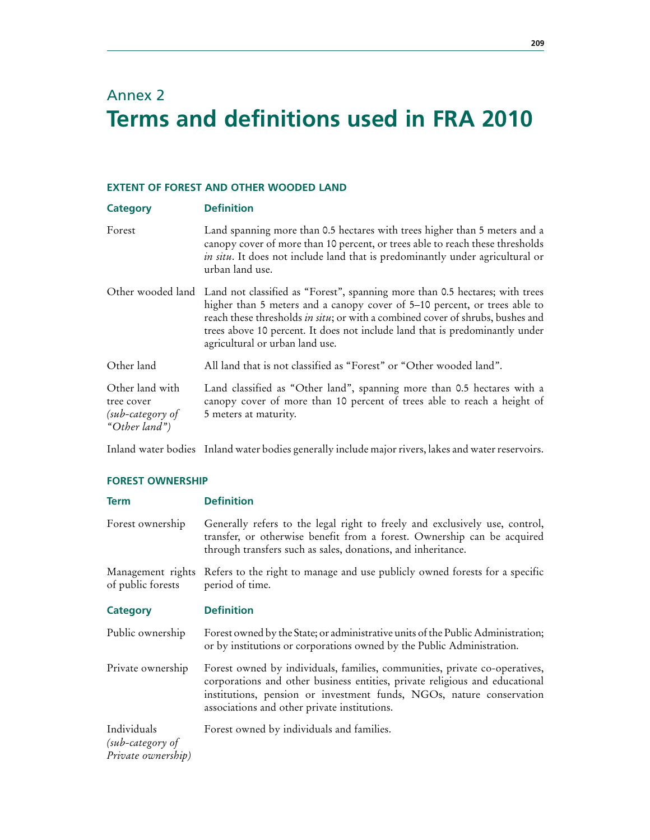# Annex 2 **Terms and definitions used in FRA 2010**

# **EXTENT OF FOREST AND OTHER WOODED LAND**

| Category                                                             | <b>Definition</b>                                                                                                                                                                                                                                                                                                                                                                |
|----------------------------------------------------------------------|----------------------------------------------------------------------------------------------------------------------------------------------------------------------------------------------------------------------------------------------------------------------------------------------------------------------------------------------------------------------------------|
| Forest                                                               | Land spanning more than 0.5 hectares with trees higher than 5 meters and a<br>canopy cover of more than 10 percent, or trees able to reach these thresholds<br>in situ. It does not include land that is predominantly under agricultural or<br>urban land use.                                                                                                                  |
|                                                                      | Other wooded land Land not classified as "Forest", spanning more than 0.5 hectares; with trees<br>higher than 5 meters and a canopy cover of 5–10 percent, or trees able to<br>reach these thresholds in situ; or with a combined cover of shrubs, bushes and<br>trees above 10 percent. It does not include land that is predominantly under<br>agricultural or urban land use. |
| Other land                                                           | All land that is not classified as "Forest" or "Other wooded land".                                                                                                                                                                                                                                                                                                              |
| Other land with<br>tree cover<br>$(sub-category$ of<br>"Other land") | Land classified as "Other land", spanning more than 0.5 hectares with a<br>canopy cover of more than 10 percent of trees able to reach a height of<br>5 meters at maturity.                                                                                                                                                                                                      |

Inland water bodies Inland water bodies generally include major rivers, lakes and water reservoirs.

#### **FOREST OWNERSHIP**

| <b>Term</b>                                           | <b>Definition</b>                                                                                                                                                                                                                                                                 |
|-------------------------------------------------------|-----------------------------------------------------------------------------------------------------------------------------------------------------------------------------------------------------------------------------------------------------------------------------------|
| Forest ownership                                      | Generally refers to the legal right to freely and exclusively use, control,<br>transfer, or otherwise benefit from a forest. Ownership can be acquired<br>through transfers such as sales, donations, and inheritance.                                                            |
| Management rights<br>of public forests                | Refers to the right to manage and use publicly owned forests for a specific<br>period of time.                                                                                                                                                                                    |
| Category                                              | <b>Definition</b>                                                                                                                                                                                                                                                                 |
| Public ownership                                      | Forest owned by the State; or administrative units of the Public Administration;<br>or by institutions or corporations owned by the Public Administration.                                                                                                                        |
| Private ownership                                     | Forest owned by individuals, families, communities, private co-operatives,<br>corporations and other business entities, private religious and educational<br>institutions, pension or investment funds, NGOs, nature conservation<br>associations and other private institutions. |
| Individuals<br>(sub-category of<br>Private ownership) | Forest owned by individuals and families.                                                                                                                                                                                                                                         |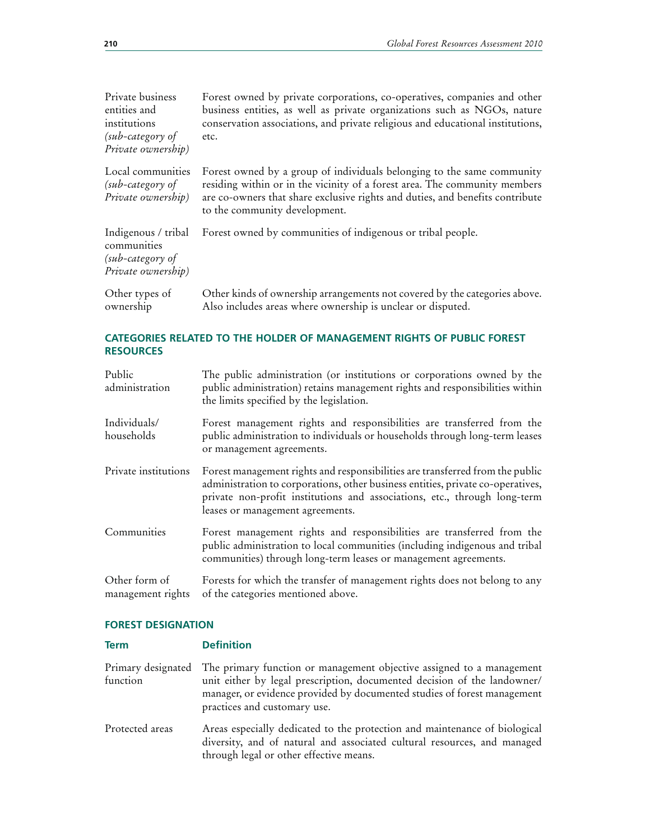| Private business<br>entities and<br>institutions<br>(sub-category of<br>Private ownership) | Forest owned by private corporations, co-operatives, companies and other<br>business entities, as well as private organizations such as NGOs, nature<br>conservation associations, and private religious and educational institutions,<br>etc.                         |
|--------------------------------------------------------------------------------------------|------------------------------------------------------------------------------------------------------------------------------------------------------------------------------------------------------------------------------------------------------------------------|
| Local communities<br>(sub-category of<br>Private ownership)                                | Forest owned by a group of individuals belonging to the same community<br>residing within or in the vicinity of a forest area. The community members<br>are co-owners that share exclusive rights and duties, and benefits contribute<br>to the community development. |
| Indigenous / tribal<br>communities<br>(sub-category of<br>Private ownership)               | Forest owned by communities of indigenous or tribal people.                                                                                                                                                                                                            |
| Other types of<br>ownership                                                                | Other kinds of ownership arrangements not covered by the categories above.<br>Also includes areas where ownership is unclear or disputed.                                                                                                                              |

# **CATEGORIES RELATED TO THE HOLDER OF MANAGEMENT RIGHTS OF PUBLIC FOREST RESOURCES**

| Public<br>administration           | The public administration (or institutions or corporations owned by the<br>public administration) retains management rights and responsibilities within<br>the limits specified by the legislation.                                                                               |
|------------------------------------|-----------------------------------------------------------------------------------------------------------------------------------------------------------------------------------------------------------------------------------------------------------------------------------|
| Individuals/<br>households         | Forest management rights and responsibilities are transferred from the<br>public administration to individuals or households through long-term leases<br>or management agreements.                                                                                                |
| Private institutions               | Forest management rights and responsibilities are transferred from the public<br>administration to corporations, other business entities, private co-operatives,<br>private non-profit institutions and associations, etc., through long-term<br>leases or management agreements. |
| Communities                        | Forest management rights and responsibilities are transferred from the<br>public administration to local communities (including indigenous and tribal<br>communities) through long-term leases or management agreements.                                                          |
| Other form of<br>management rights | Forests for which the transfer of management rights does not belong to any<br>of the categories mentioned above.                                                                                                                                                                  |

# **FOREST DESIGNATION**

| <b>Term</b>                    | <b>Definition</b>                                                                                                                                                                                                                                             |
|--------------------------------|---------------------------------------------------------------------------------------------------------------------------------------------------------------------------------------------------------------------------------------------------------------|
| Primary designated<br>function | The primary function or management objective assigned to a management<br>unit either by legal prescription, documented decision of the landowner/<br>manager, or evidence provided by documented studies of forest management<br>practices and customary use. |
| Protected areas                | Areas especially dedicated to the protection and maintenance of biological<br>diversity, and of natural and associated cultural resources, and managed<br>through legal or other effective means.                                                             |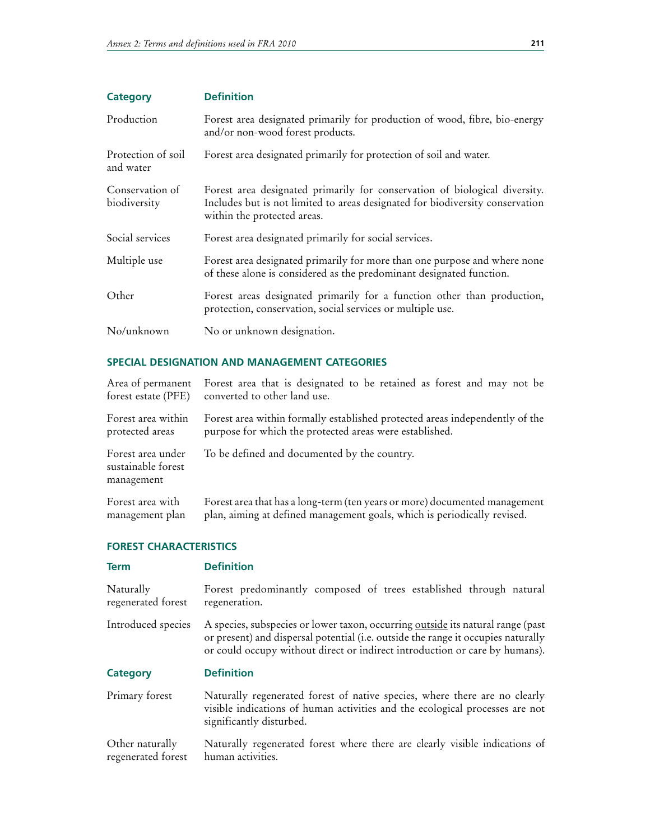| <b>Category</b>                 | <b>Definition</b>                                                                                                                                                                          |
|---------------------------------|--------------------------------------------------------------------------------------------------------------------------------------------------------------------------------------------|
| Production                      | Forest area designated primarily for production of wood, fibre, bio-energy<br>and/or non-wood forest products.                                                                             |
| Protection of soil<br>and water | Forest area designated primarily for protection of soil and water.                                                                                                                         |
| Conservation of<br>biodiversity | Forest area designated primarily for conservation of biological diversity.<br>Includes but is not limited to areas designated for biodiversity conservation<br>within the protected areas. |
| Social services                 | Forest area designated primarily for social services.                                                                                                                                      |
| Multiple use                    | Forest area designated primarily for more than one purpose and where none<br>of these alone is considered as the predominant designated function.                                          |
| Other                           | Forest areas designated primarily for a function other than production,<br>protection, conservation, social services or multiple use.                                                      |
| No/unknown                      | No or unknown designation.                                                                                                                                                                 |

# **SPECIAL DESIGNATION AND MANAGEMENT CATEGORIES**

| Area of permanent                                     | Forest area that is designated to be retained as forest and may not be       |
|-------------------------------------------------------|------------------------------------------------------------------------------|
| forest estate (PFE)                                   | converted to other land use.                                                 |
| Forest area within                                    | Forest area within formally established protected areas independently of the |
| protected areas                                       | purpose for which the protected areas were established.                      |
| Forest area under<br>sustainable forest<br>management | To be defined and documented by the country.                                 |
| Forest area with                                      | Forest area that has a long-term (ten years or more) documented management   |
| management plan                                       | plan, aiming at defined management goals, which is periodically revised.     |

#### **FOREST CHARACTERISTICS**

| <b>Term</b>                     | <b>Definition</b>                                                                                                                                                                                                                                   |
|---------------------------------|-----------------------------------------------------------------------------------------------------------------------------------------------------------------------------------------------------------------------------------------------------|
| Naturally<br>regenerated forest | Forest predominantly composed of trees established through natural<br>regeneration.                                                                                                                                                                 |
| Introduced species              | A species, subspecies or lower taxon, occurring outside its natural range (past<br>or present) and dispersal potential (i.e. outside the range it occupies naturally<br>or could occupy without direct or indirect introduction or care by humans). |
|                                 |                                                                                                                                                                                                                                                     |
| Category                        | <b>Definition</b>                                                                                                                                                                                                                                   |
| Primary forest                  | Naturally regenerated forest of native species, where there are no clearly<br>visible indications of human activities and the ecological processes are not<br>significantly disturbed.                                                              |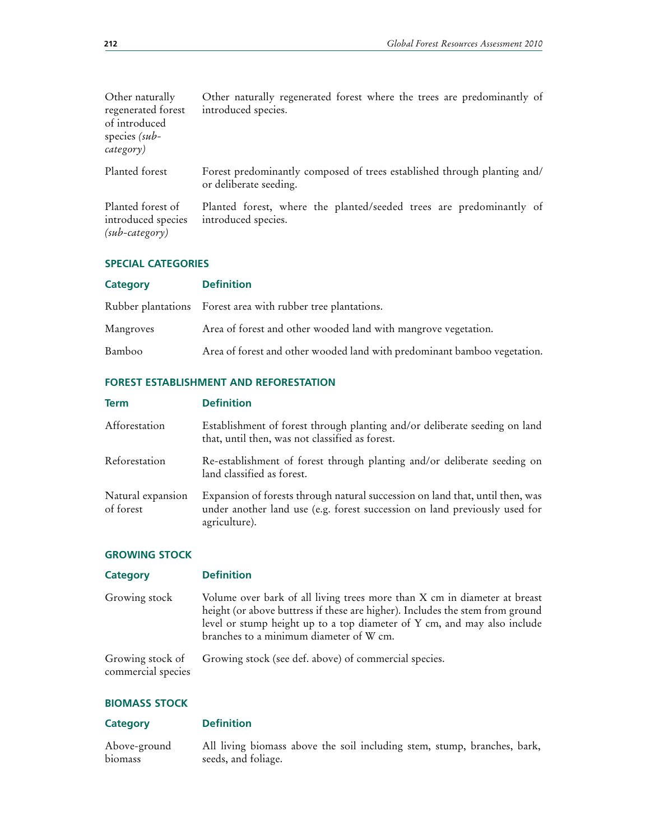branches, bark,

| Other naturally<br>regenerated forest<br>of introduced<br>species $(sub-$<br>category) | Other naturally regenerated forest where the trees are predominantly of<br>introduced species.     |
|----------------------------------------------------------------------------------------|----------------------------------------------------------------------------------------------------|
| Planted forest                                                                         | Forest predominantly composed of trees established through planting and/<br>or deliberate seeding. |
| Planted forest of<br>introduced species<br>$(sub-category)$                            | Planted forest, where the planted/seeded trees are predominantly of<br>introduced species.         |

# **SPECIAL CATEGORIES**

| <b>Category</b> | <b>Definition</b>                                                        |
|-----------------|--------------------------------------------------------------------------|
|                 | Rubber plantations Forest area with rubber tree plantations.             |
| Mangroves       | Area of forest and other wooded land with mangrove vegetation.           |
| Bamboo          | Area of forest and other wooded land with predominant bamboo vegetation. |

# **FOREST ESTABLISHMENT AND REFORESTATION**

| <b>Term</b>                    | <b>Definition</b>                                                                                                                                                            |
|--------------------------------|------------------------------------------------------------------------------------------------------------------------------------------------------------------------------|
| Afforestation                  | Establishment of forest through planting and/or deliberate seeding on land<br>that, until then, was not classified as forest.                                                |
| Reforestation                  | Re-establishment of forest through planting and/or deliberate seeding on<br>land classified as forest.                                                                       |
| Natural expansion<br>of forest | Expansion of forests through natural succession on land that, until then, was<br>under another land use (e.g. forest succession on land previously used for<br>agriculture). |

# **GROWING STOCK**

| <b>Category</b>                        | <b>Definition</b>                                                                                                                                                                                                                                                                 |
|----------------------------------------|-----------------------------------------------------------------------------------------------------------------------------------------------------------------------------------------------------------------------------------------------------------------------------------|
| Growing stock                          | Volume over bark of all living trees more than X cm in diameter at breast<br>height (or above buttress if these are higher). Includes the stem from ground<br>level or stump height up to a top diameter of Y cm, and may also include<br>branches to a minimum diameter of W cm. |
| Growing stock of<br>commercial species | Growing stock (see def. above) of commercial species.                                                                                                                                                                                                                             |

# **BIOMASS STOCK**

| <b>Category</b> | <b>Definition</b>                                        |
|-----------------|----------------------------------------------------------|
| Above-ground    | All living biomass above the soil including stem, stump, |
| biomass         | seeds, and foliage.                                      |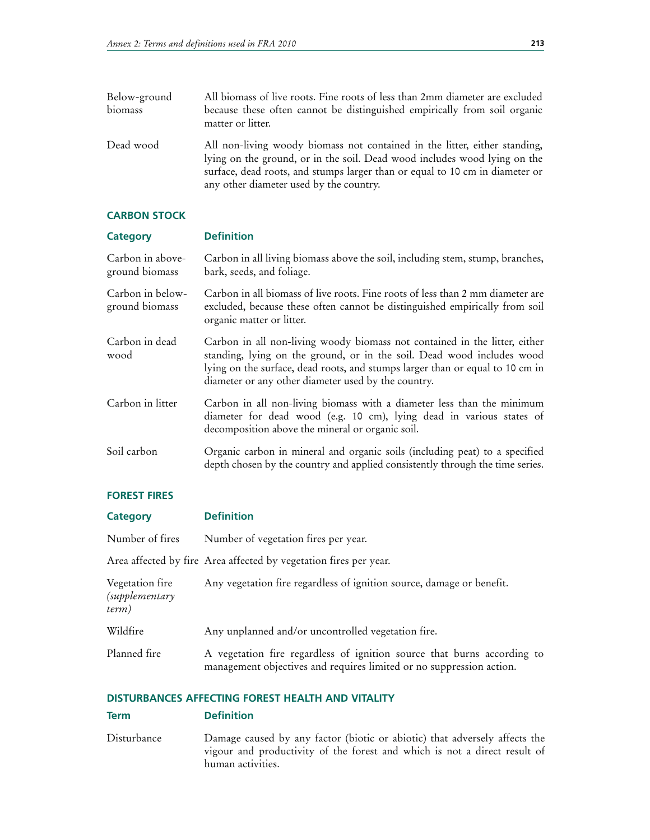Below-ground biomass All biomass of live roots. Fine roots of less than 2mm diameter are excluded because these often cannot be distinguished empirically from soil organic matter or litter. Dead wood All non-living woody biomass not contained in the litter, either standing, lying on the ground, or in the soil. Dead wood includes wood lying on the surface, dead roots, and stumps larger than or equal to 10 cm in diameter or any other diameter used by the country.

#### **CARBON STOCK**

# **Category Definition**

Carbon in aboveground biomass Carbon in all living biomass above the soil, including stem, stump, branches, bark, seeds, and foliage.

Carbon in belowground biomass Carbon in all biomass of live roots. Fine roots of less than 2 mm diameter are excluded, because these often cannot be distinguished empirically from soil organic matter or litter.

- Carbon in dead wood Carbon in all non-living woody biomass not contained in the litter, either standing, lying on the ground, or in the soil. Dead wood includes wood lying on the surface, dead roots, and stumps larger than or equal to 10 cm in diameter or any other diameter used by the country.
- Carbon in litter Carbon in all non-living biomass with a diameter less than the minimum diameter for dead wood (e.g. 10 cm), lying dead in various states of decomposition above the mineral or organic soil.
- Soil carbon Organic carbon in mineral and organic soils (including peat) to a specified depth chosen by the country and applied consistently through the time series.

#### **FOREST FIRES**

| <b>Category</b>                                   | <b>Definition</b>                                                                                                                               |
|---------------------------------------------------|-------------------------------------------------------------------------------------------------------------------------------------------------|
| Number of fires                                   | Number of vegetation fires per year.                                                                                                            |
|                                                   | Area affected by fire Area affected by vegetation fires per year.                                                                               |
| Vegetation fire<br><i>(supplementary</i><br>term) | Any vegetation fire regardless of ignition source, damage or benefit.                                                                           |
| Wildfire                                          | Any unplanned and/or uncontrolled vegetation fire.                                                                                              |
| Planned fire                                      | A vegetation fire regardless of ignition source that burns according to<br>management objectives and requires limited or no suppression action. |

#### **DISTURBANCES AFFECTING FOREST HEALTH AND VITALITY**

#### **Term Definition**

Disturbance Damage caused by any factor (biotic or abiotic) that adversely affects the vigour and productivity of the forest and which is not a direct result of human activities.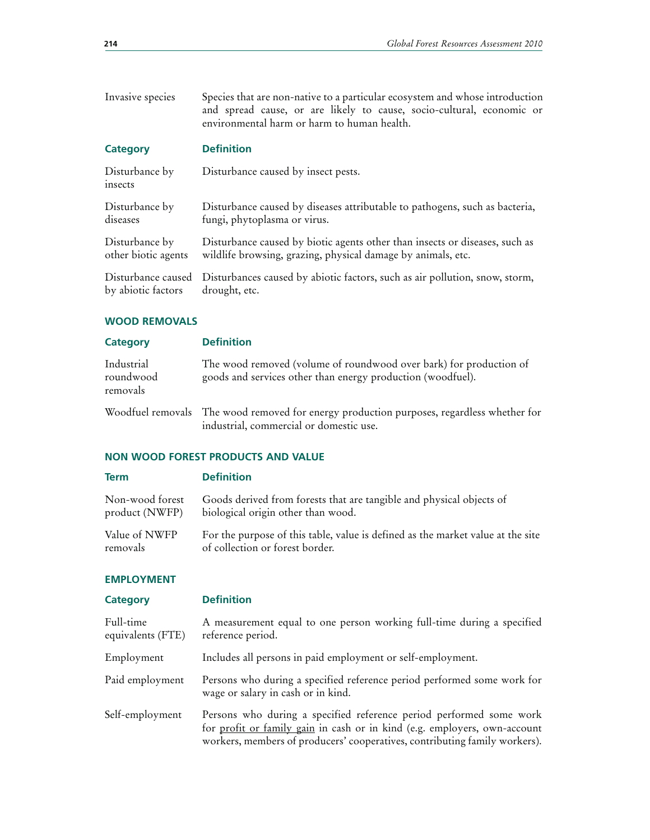| Invasive species          | Species that are non-native to a particular ecosystem and whose introduction<br>and spread cause, or are likely to cause, socio-cultural, economic or<br>environmental harm or harm to human health. |
|---------------------------|------------------------------------------------------------------------------------------------------------------------------------------------------------------------------------------------------|
| <b>Category</b>           | <b>Definition</b>                                                                                                                                                                                    |
| Disturbance by<br>insects | Disturbance caused by insect pests.                                                                                                                                                                  |
| Disturbance by            | Disturbance caused by diseases attributable to pathogens, such as bacteria,                                                                                                                          |
| diseases                  | fungi, phytoplasma or virus.                                                                                                                                                                         |
| Disturbance by            | Disturbance caused by biotic agents other than insects or diseases, such as                                                                                                                          |
| other biotic agents       | wildlife browsing, grazing, physical damage by animals, etc.                                                                                                                                         |
| Disturbance caused        | Disturbances caused by abiotic factors, such as air pollution, snow, storm,                                                                                                                          |
| by abiotic factors        | drought, etc.                                                                                                                                                                                        |

# **WOOD REMOVALS**

| Category                            | <b>Definition</b>                                                                                                                    |
|-------------------------------------|--------------------------------------------------------------------------------------------------------------------------------------|
| Industrial<br>roundwood<br>removals | The wood removed (volume of roundwood over bark) for production of<br>goods and services other than energy production (woodfuel).    |
|                                     | Woodfuel removals The wood removed for energy production purposes, regardless whether for<br>industrial, commercial or domestic use. |

#### **NON WOOD FOREST PRODUCTS AND VALUE**

#### **Term Definition** Non-wood forest product (NWFP) Goods derived from forests that are tangible and physical objects of biological origin other than wood. Value of NWFP removals For the purpose of this table, value is defined as the market value at the site of collection or forest border.

#### **EMPLOYMENT**

| <b>Category</b>                | <b>Definition</b>                                                                                                                                                                                                              |
|--------------------------------|--------------------------------------------------------------------------------------------------------------------------------------------------------------------------------------------------------------------------------|
| Full-time<br>equivalents (FTE) | A measurement equal to one person working full-time during a specified<br>reference period.                                                                                                                                    |
| Employment                     | Includes all persons in paid employment or self-employment.                                                                                                                                                                    |
| Paid employment                | Persons who during a specified reference period performed some work for<br>wage or salary in cash or in kind.                                                                                                                  |
| Self-employment                | Persons who during a specified reference period performed some work<br>for profit or family gain in cash or in kind (e.g. employers, own-account<br>workers, members of producers' cooperatives, contributing family workers). |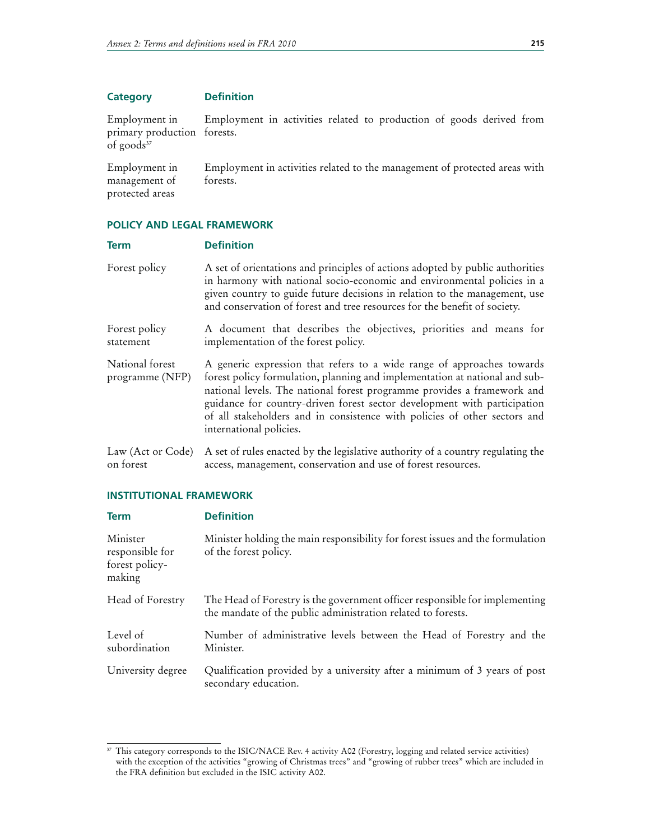| <b>Category</b> | <b>Definition</b> |
|-----------------|-------------------|
|-----------------|-------------------|

Employment in primary production forests. of goods<sup>37</sup> Employment in activities related to production of goods derived from

Employment in management of protected areas Employment in activities related to the management of protected areas with forests.

# **POLICY AND LEGAL FRAMEWORK**

| <b>Term</b>                        | <b>Definition</b>                                                                                                                                                                                                                                                                                                                                                                                                    |
|------------------------------------|----------------------------------------------------------------------------------------------------------------------------------------------------------------------------------------------------------------------------------------------------------------------------------------------------------------------------------------------------------------------------------------------------------------------|
| Forest policy                      | A set of orientations and principles of actions adopted by public authorities<br>in harmony with national socio-economic and environmental policies in a<br>given country to guide future decisions in relation to the management, use<br>and conservation of forest and tree resources for the benefit of society.                                                                                                  |
| Forest policy<br>statement         | A document that describes the objectives, priorities and means for<br>implementation of the forest policy.                                                                                                                                                                                                                                                                                                           |
| National forest<br>programme (NFP) | A generic expression that refers to a wide range of approaches towards<br>forest policy formulation, planning and implementation at national and sub-<br>national levels. The national forest programme provides a framework and<br>guidance for country-driven forest sector development with participation<br>of all stakeholders and in consistence with policies of other sectors and<br>international policies. |
| Law (Act or Code)<br>on forest     | A set of rules enacted by the legislative authority of a country regulating the<br>access, management, conservation and use of forest resources.                                                                                                                                                                                                                                                                     |

#### **INSTITUTIONAL FRAMEWORK**

| <b>Term</b>                                             | <b>Definition</b>                                                                                                                           |
|---------------------------------------------------------|---------------------------------------------------------------------------------------------------------------------------------------------|
| Minister<br>responsible for<br>forest policy-<br>making | Minister holding the main responsibility for forest issues and the formulation<br>of the forest policy.                                     |
| Head of Forestry                                        | The Head of Forestry is the government officer responsible for implementing<br>the mandate of the public administration related to forests. |
| Level of<br>subordination                               | Number of administrative levels between the Head of Forestry and the<br>Minister.                                                           |
| University degree                                       | Qualification provided by a university after a minimum of 3 years of post<br>secondary education.                                           |

<sup>&</sup>lt;sup>37</sup> This category corresponds to the ISIC/NACE Rev. 4 activity A02 (Forestry, logging and related service activities) with the exception of the activities "growing of Christmas trees" and "growing of rubber trees" which are included in the FRA definition but excluded in the ISIC activity A02.